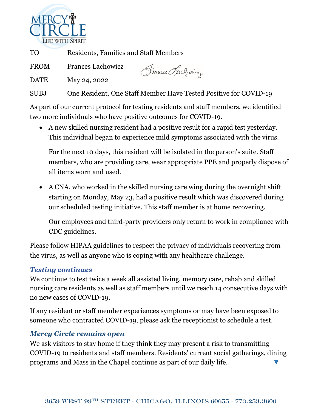

TO Residents, Families and Staff Members

FROM Frances Lachowicz

Frouces Rach ones

DATE May 24, 2022

SUBJ One Resident, One Staff Member Have Tested Positive for COVID-19

As part of our current protocol for testing residents and staff members, we identified two more individuals who have positive outcomes for COVID-19.

• A new skilled nursing resident had a positive result for a rapid test yesterday. This individual began to experience mild symptoms associated with the virus.

For the next 10 days, this resident will be isolated in the person's suite. Staff members, who are providing care, wear appropriate PPE and properly dispose of all items worn and used.

• A CNA, who worked in the skilled nursing care wing during the overnight shift starting on Monday, May 23, had a positive result which was discovered during our scheduled testing initiative. This staff member is at home recovering.

Our employees and third-party providers only return to work in compliance with CDC guidelines.

Please follow HIPAA guidelines to respect the privacy of individuals recovering from the virus, as well as anyone who is coping with any healthcare challenge.

## *Testing continues*

We continue to test twice a week all assisted living, memory care, rehab and skilled nursing care residents as well as staff members until we reach 14 consecutive days with no new cases of COVID-19.

If any resident or staff member experiences symptoms or may have been exposed to someone who contracted COVID-19, please ask the receptionist to schedule a test.

## *Mercy Circle remains open*

We ask visitors to stay home if they think they may present a risk to transmitting COVID-19 to residents and staff members. Residents' current social gatherings, dining programs and Mass in the Chapel continue as part of our daily life.